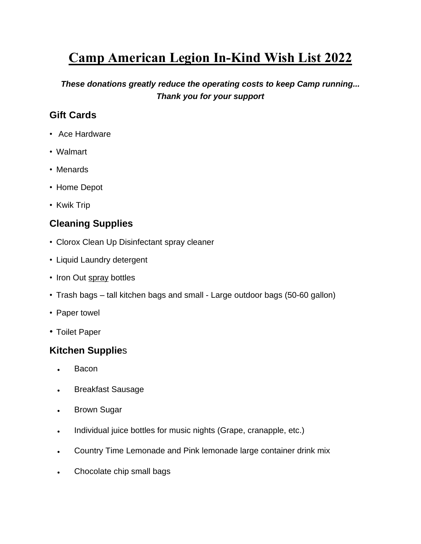# **Camp American Legion In-Kind Wish List 2022**

*These donations greatly reduce the operating costs to keep Camp running... Thank you for your support*

## **Gift Cards**

- Ace Hardware
- Walmart
- Menards
- Home Depot
- Kwik Trip

## **Cleaning Supplies**

- Clorox Clean Up Disinfectant spray cleaner
- Liquid Laundry detergent
- Iron Out spray bottles
- Trash bags tall kitchen bags and small Large outdoor bags (50-60 gallon)
- Paper towel
- Toilet Paper

### **Kitchen Supplie**s

- Bacon
- Breakfast Sausage
- Brown Sugar
- Individual juice bottles for music nights (Grape, cranapple, etc.)
- Country Time Lemonade and Pink lemonade large container drink mix
- Chocolate chip small bags